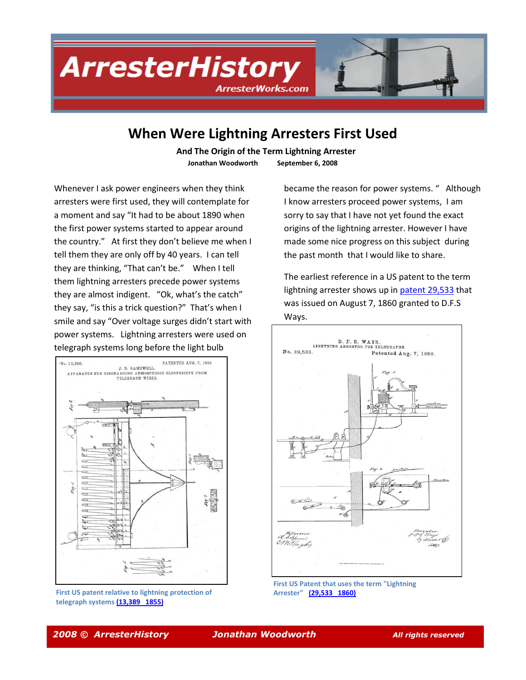# **ArresterHistory ArresterWorks.com**

### **When Were Lightning Arresters First Used**

 **And The Origin of the Term Lightning Arrester Jonathan Woodworth September 6, 2008**

Whenever I ask power engineers when they think arresters were first used, they will contemplate for a moment and say "It had to be about 1890 when the first power systems started to appear around the country." At first they don't believe me when I tell them they are only off by 40 years. I can tell they are thinking, "That can't be." When I tell them lightning arresters precede power systems they are almost indigent. "Ok, what's the catch" they say, "is this a trick question?" That's when I smile and say "Over voltage surges didn't start with power systems. Lightning arresters were used on telegraph systems long before the light bulb



**First US patent relative to lightning protection of telegraph system[s \(13,389 1855\)](http://www.arresterworks.com/ArresterHistory_files/US%20Patent%2013389%20%20%20%20%201855%20Arrester%20Patent%20for%20Telegraph%20Lines.pdf)**

became the reason for power systems. " Although I know arresters proceed power systems, I am sorry to say that I have not yet found the exact origins of the lightning arrester. However I have made some nice progress on this subject during the past month that I would like to share.

The earliest reference in a US patent to the term lightning arrester shows up in [patent 29,533](http://www.arresterworks.com/ArresterHistory_files/1860%20Patent%2029533%20Early%20Patent%20to%20Use%20Lightning%20Arrester.pdf) that was issued on August 7, 1860 granted to D.F.S Ways.



**First US Patent that uses the term "Lightning Arrester" [\(29,533 1860\)](http://www.arresterworks.com/ArresterHistory_files/1860%20Patent%2029533%20Early%20Patent%20to%20Use%20Lightning%20Arrester.pdf)**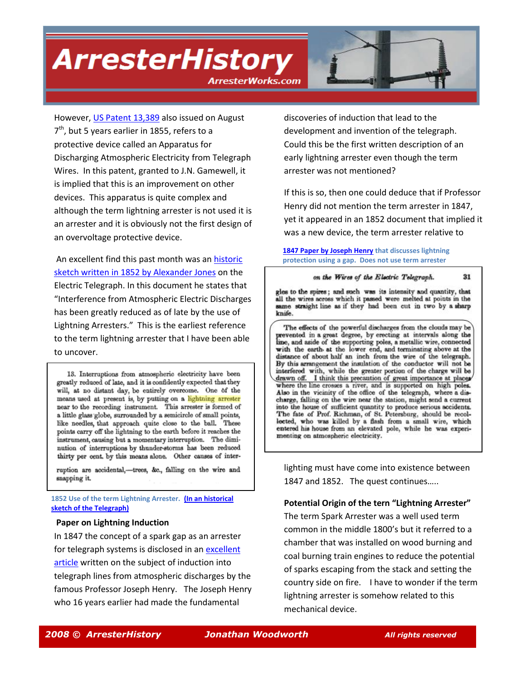**ArresterHistory** 

rresterWorks.com



However[, US Patent 13,389](http://www.arresterworks.com/ArresterHistory_files/US%20Patent%2013389%20%20%20%20%201855%20Arrester%20Patent%20for%20Telegraph%20Lines.pdf) also issued on August 7<sup>th</sup>, but 5 years earlier in 1855, refers to a protective device called an Apparatus for Discharging Atmospheric Electricity from Telegraph Wires. In this patent, granted to J.N. Gamewell, it is implied that this is an improvement on other devices. This apparatus is quite complex and although the term lightning arrester is not used it is an arrester and it is obviously not the first design of an overvoltage protective device.

An excellent find this past month was an historic [sketch written in 1852](http://www.arresterworks.com/ArresterHistory_files/Historical%20Sketch%20of%20Telegraph%20in%201852%20that%20discusses%20Arresters.pdf) by Alexander Jones on the Electric Telegraph. In this document he states that "Interference from Atmospheric Electric Discharges has been greatly reduced as of late by the use of Lightning Arresters." This is the earliest reference to the term lightning arrester that I have been able to uncover.

13. Interruptions from atmospheric electricity have been greatly reduced of late, and it is confidently expected that they will, at no distant day, be entirely overcome. One of the means used at present is, by putting on a lightning arrester near to the recording instrument. This arrester is formed of a little glass globe, surrounded by a semicircle of small points, like needles, that approach quite close to the ball. These points carry off the lightning to the earth before it reaches the instrument, causing but a momentary interruption. The diminution of interruptions by thunder-storms has been reduced thirty per cent. by this means alone. Other causes of inter-

ruption are accidental,-trees, &c., falling on the wire and snapping it.

**1852 Use of the term Lightning Arrester. [\(In an historical](http://www.arresterworks.com/ArresterHistory_files/Historical%20Sketch%20of%20Telegraph%20in%201852%20that%20discusses%20Arresters.pdf)  [sketch of the Telegraph\)](http://www.arresterworks.com/ArresterHistory_files/Historical%20Sketch%20of%20Telegraph%20in%201852%20that%20discusses%20Arresters.pdf)**

#### **Paper on Lightning Induction**

In 1847 the concept of a spark gap as an arrester for telegraph systems is disclosed in a[n excellent](http://www.arresterworks.com/ArresterHistory_files/1847%20Paper%20by%20Joseph%20Henry%20on%20Induction%20of%20lighting%20on%20to%20Telegraph%20Lines.pdf)  [article](http://www.arresterworks.com/ArresterHistory_files/1847%20Paper%20by%20Joseph%20Henry%20on%20Induction%20of%20lighting%20on%20to%20Telegraph%20Lines.pdf) written on the subject of induction into telegraph lines from atmospheric discharges by the famous Professor Joseph Henry. The Joseph Henry who 16 years earlier had made the fundamental

discoveries of induction that lead to the development and invention of the telegraph. Could this be the first written description of an early lightning arrester even though the term arrester was not mentioned?

If this is so, then one could deduce that if Professor Henry did not mention the term arrester in 1847, yet it appeared in an 1852 document that implied it was a new device, the term arrester relative to

#### **[1847 Paper by Joseph Henry](http://www.arresterworks.com/ArresterHistory_files/Historical%20Sketch%20of%20Telegraph%20in%201852%20that%20discusses%20Arresters.pdf) that discusses lightning protection using a gap. Does not use term arrester**

#### on the Wires of the Electric Telegraph.

31

gles to the spires; and such was its intensity and quantity, that all the wires across which it passed were melted at points in the same straight line as if they had been cut in two by a sharp knife.

The effects of the powerful discharges from the clouds may be revented in a great degree, by erecting at intervals along the line, and aside of the supporting poles, a metallic wire, connected with the earth at the lower end, and terminating above at the distance of about half an inch from the wire of the telegraph. By this arrangement the insulation of the conductor will not be interfered with, while the greater portion of the charge will be drawn off. I think this precaution of great importance at places where the line crosses a river, and is supported on high poles. Also in the vicinity of the office of the telegraph, where a discharge, falling on the wire near the station, might send a current into the house of sufficient quantity to produce serious accidents. The fate of Prof. Richman, of St. Petersburg, should be recollected, who was killed by a flash from a small wire, which entered his house from an elevated pole, while he was experimenting on atmospheric electricity.

lighting must have come into existence between 1847 and 1852. The quest continues…..

#### **Potential Origin of the tern "Lightning Arrester"**

The term Spark Arrester was a well used term common in the middle 1800's but it referred to a chamber that was installed on wood burning and coal burning train engines to reduce the potential of sparks escaping from the stack and setting the country side on fire. I have to wonder if the term lightning arrester is somehow related to this mechanical device.